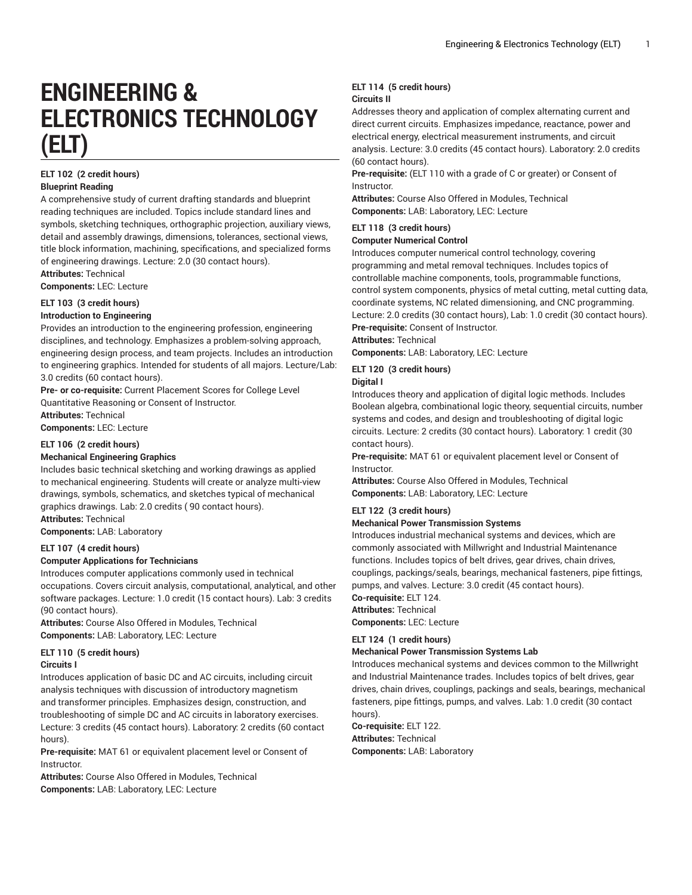# **ENGINEERING & ELECTRONICS TECHNOLOGY (ELT)**

#### **ELT 102 (2 credit hours) Blueprint Reading**

A comprehensive study of current drafting standards and blueprint reading techniques are included. Topics include standard lines and symbols, sketching techniques, orthographic projection, auxiliary views, detail and assembly drawings, dimensions, tolerances, sectional views, title block information, machining, specifications, and specialized forms of engineering drawings. Lecture: 2.0 (30 contact hours).

**Attributes:** Technical

**Components:** LEC: Lecture

#### **ELT 103 (3 credit hours) Introduction to Engineering**

Provides an introduction to the engineering profession, engineering disciplines, and technology. Emphasizes a problem-solving approach, engineering design process, and team projects. Includes an introduction to engineering graphics. Intended for students of all majors. Lecture/Lab: 3.0 credits (60 contact hours).

**Pre- or co-requisite:** Current Placement Scores for College Level Quantitative Reasoning or Consent of Instructor. **Attributes:** Technical **Components:** LEC: Lecture

**ELT 106 (2 credit hours)**

#### **Mechanical Engineering Graphics**

Includes basic technical sketching and working drawings as applied to mechanical engineering. Students will create or analyze multi-view drawings, symbols, schematics, and sketches typical of mechanical graphics drawings. Lab: 2.0 credits ( 90 contact hours).

**Attributes:** Technical **Components:** LAB: Laboratory

### **ELT 107 (4 credit hours)**

#### **Computer Applications for Technicians**

Introduces computer applications commonly used in technical occupations. Covers circuit analysis, computational, analytical, and other software packages. Lecture: 1.0 credit (15 contact hours). Lab: 3 credits (90 contact hours).

**Attributes:** Course Also Offered in Modules, Technical **Components:** LAB: Laboratory, LEC: Lecture

#### **ELT 110 (5 credit hours) Circuits I**

Introduces application of basic DC and AC circuits, including circuit analysis techniques with discussion of introductory magnetism and transformer principles. Emphasizes design, construction, and troubleshooting of simple DC and AC circuits in laboratory exercises. Lecture: 3 credits (45 contact hours). Laboratory: 2 credits (60 contact hours).

**Pre-requisite:** MAT 61 or equivalent placement level or Consent of Instructor.

**Attributes:** Course Also Offered in Modules, Technical **Components:** LAB: Laboratory, LEC: Lecture

#### **ELT 114 (5 credit hours) Circuits II**

Addresses theory and application of complex alternating current and direct current circuits. Emphasizes impedance, reactance, power and electrical energy, electrical measurement instruments, and circuit analysis. Lecture: 3.0 credits (45 contact hours). Laboratory: 2.0 credits (60 contact hours).

**Pre-requisite:** (ELT 110 with a grade of C or greater) or Consent of Instructor.

**Attributes:** Course Also Offered in Modules, Technical **Components:** LAB: Laboratory, LEC: Lecture

#### **ELT 118 (3 credit hours)**

#### **Computer Numerical Control**

Introduces computer numerical control technology, covering programming and metal removal techniques. Includes topics of controllable machine components, tools, programmable functions, control system components, physics of metal cutting, metal cutting data, coordinate systems, NC related dimensioning, and CNC programming. Lecture: 2.0 credits (30 contact hours), Lab: 1.0 credit (30 contact hours). **Pre-requisite:** Consent of Instructor.

#### **Attributes:** Technical

**Components:** LAB: Laboratory, LEC: Lecture

### **ELT 120 (3 credit hours)**

#### **Digital I**

Introduces theory and application of digital logic methods. Includes Boolean algebra, combinational logic theory, sequential circuits, number systems and codes, and design and troubleshooting of digital logic circuits. Lecture: 2 credits (30 contact hours). Laboratory: 1 credit (30 contact hours).

**Pre-requisite:** MAT 61 or equivalent placement level or Consent of Instructor.

**Attributes:** Course Also Offered in Modules, Technical **Components:** LAB: Laboratory, LEC: Lecture

#### **ELT 122 (3 credit hours)**

#### **Mechanical Power Transmission Systems**

Introduces industrial mechanical systems and devices, which are commonly associated with Millwright and Industrial Maintenance functions. Includes topics of belt drives, gear drives, chain drives, couplings, packings/seals, bearings, mechanical fasteners, pipe fittings, pumps, and valves. Lecture: 3.0 credit (45 contact hours).

**Co-requisite:** ELT 124.

**Attributes:** Technical

**Components:** LEC: Lecture

#### **ELT 124 (1 credit hours)**

#### **Mechanical Power Transmission Systems Lab**

Introduces mechanical systems and devices common to the Millwright and Industrial Maintenance trades. Includes topics of belt drives, gear drives, chain drives, couplings, packings and seals, bearings, mechanical fasteners, pipe fittings, pumps, and valves. Lab: 1.0 credit (30 contact hours).

#### **Co-requisite:** ELT 122. **Attributes:** Technical **Components:** LAB: Laboratory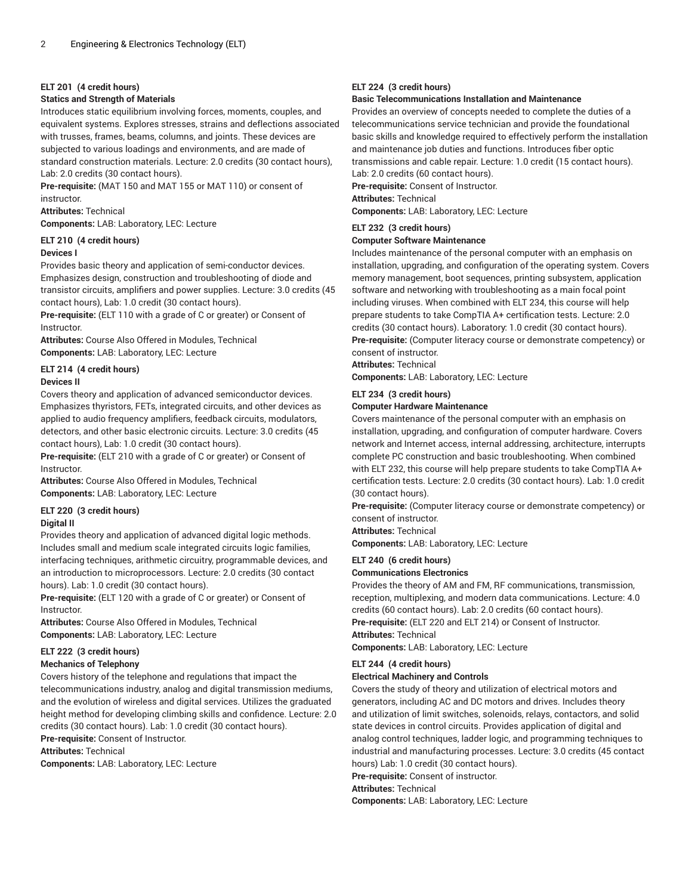#### **ELT 201 (4 credit hours)**

#### **Statics and Strength of Materials**

Introduces static equilibrium involving forces, moments, couples, and equivalent systems. Explores stresses, strains and deflections associated with trusses, frames, beams, columns, and joints. These devices are subjected to various loadings and environments, and are made of standard construction materials. Lecture: 2.0 credits (30 contact hours), Lab: 2.0 credits (30 contact hours).

**Pre-requisite:** (MAT 150 and MAT 155 or MAT 110) or consent of instructor.

**Attributes:** Technical

**Components:** LAB: Laboratory, LEC: Lecture

### **ELT 210 (4 credit hours)**

#### **Devices I**

Provides basic theory and application of semi-conductor devices. Emphasizes design, construction and troubleshooting of diode and transistor circuits, amplifiers and power supplies. Lecture: 3.0 credits (45 contact hours), Lab: 1.0 credit (30 contact hours).

**Pre-requisite:** (ELT 110 with a grade of C or greater) or Consent of Instructor.

**Attributes:** Course Also Offered in Modules, Technical **Components:** LAB: Laboratory, LEC: Lecture

#### **ELT 214 (4 credit hours) Devices II**

Covers theory and application of advanced semiconductor devices. Emphasizes thyristors, FETs, integrated circuits, and other devices as applied to audio frequency amplifiers, feedback circuits, modulators, detectors, and other basic electronic circuits. Lecture: 3.0 credits (45 contact hours), Lab: 1.0 credit (30 contact hours).

**Pre-requisite:** (ELT 210 with a grade of C or greater) or Consent of Instructor.

**Attributes:** Course Also Offered in Modules, Technical **Components:** LAB: Laboratory, LEC: Lecture

#### **ELT 220 (3 credit hours)**

#### **Digital II**

Provides theory and application of advanced digital logic methods. Includes small and medium scale integrated circuits logic families, interfacing techniques, arithmetic circuitry, programmable devices, and an introduction to microprocessors. Lecture: 2.0 credits (30 contact hours). Lab: 1.0 credit (30 contact hours).

**Pre-requisite:** (ELT 120 with a grade of C or greater) or Consent of Instructor.

**Attributes:** Course Also Offered in Modules, Technical **Components:** LAB: Laboratory, LEC: Lecture

#### **ELT 222 (3 credit hours)**

#### **Mechanics of Telephony**

Covers history of the telephone and regulations that impact the telecommunications industry, analog and digital transmission mediums, and the evolution of wireless and digital services. Utilizes the graduated height method for developing climbing skills and confidence. Lecture: 2.0 credits (30 contact hours). Lab: 1.0 credit (30 contact hours).

**Pre-requisite:** Consent of Instructor.

**Attributes:** Technical

**Components:** LAB: Laboratory, LEC: Lecture

#### **ELT 224 (3 credit hours)**

#### **Basic Telecommunications Installation and Maintenance**

Provides an overview of concepts needed to complete the duties of a telecommunications service technician and provide the foundational basic skills and knowledge required to effectively perform the installation and maintenance job duties and functions. Introduces fiber optic transmissions and cable repair. Lecture: 1.0 credit (15 contact hours).

Lab: 2.0 credits (60 contact hours). **Pre-requisite:** Consent of Instructor. **Attributes:** Technical

**Components:** LAB: Laboratory, LEC: Lecture

#### **ELT 232 (3 credit hours)**

#### **Computer Software Maintenance**

Includes maintenance of the personal computer with an emphasis on installation, upgrading, and configuration of the operating system. Covers memory management, boot sequences, printing subsystem, application software and networking with troubleshooting as a main focal point including viruses. When combined with ELT 234, this course will help prepare students to take CompTIA A+ certification tests. Lecture: 2.0 credits (30 contact hours). Laboratory: 1.0 credit (30 contact hours). **Pre-requisite:** (Computer literacy course or demonstrate competency) or consent of instructor.

**Attributes:** Technical

**Components:** LAB: Laboratory, LEC: Lecture

#### **ELT 234 (3 credit hours)**

#### **Computer Hardware Maintenance**

Covers maintenance of the personal computer with an emphasis on installation, upgrading, and configuration of computer hardware. Covers network and Internet access, internal addressing, architecture, interrupts complete PC construction and basic troubleshooting. When combined with ELT 232, this course will help prepare students to take CompTIA A+ certification tests. Lecture: 2.0 credits (30 contact hours). Lab: 1.0 credit (30 contact hours).

**Pre-requisite:** (Computer literacy course or demonstrate competency) or consent of instructor.

**Attributes:** Technical

**Components:** LAB: Laboratory, LEC: Lecture

#### **ELT 240 (6 credit hours)**

#### **Communications Electronics**

Provides the theory of AM and FM, RF communications, transmission, reception, multiplexing, and modern data communications. Lecture: 4.0 credits (60 contact hours). Lab: 2.0 credits (60 contact hours). **Pre-requisite:** (ELT 220 and ELT 214) or Consent of Instructor. **Attributes:** Technical

**Components:** LAB: Laboratory, LEC: Lecture

#### **ELT 244 (4 credit hours)**

#### **Electrical Machinery and Controls**

Covers the study of theory and utilization of electrical motors and generators, including AC and DC motors and drives. Includes theory and utilization of limit switches, solenoids, relays, contactors, and solid state devices in control circuits. Provides application of digital and analog control techniques, ladder logic, and programming techniques to industrial and manufacturing processes. Lecture: 3.0 credits (45 contact hours) Lab: 1.0 credit (30 contact hours).

**Pre-requisite:** Consent of instructor.

#### **Attributes:** Technical

**Components:** LAB: Laboratory, LEC: Lecture